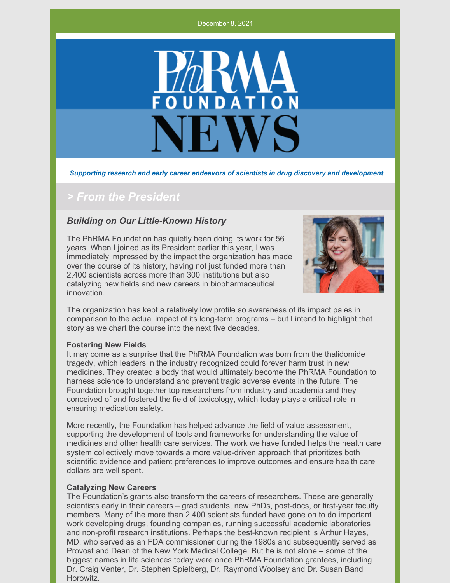

*Supporting research and early career endeavors of scientists in drug discovery and development*

# *> From the President*

#### *Building on Our Little-Known History*

The PhRMA Foundation has quietly been doing its work for 56 years. When I joined as its President earlier this year, I was immediately impressed by the impact the organization has made over the course of its history, having not just funded more than 2,400 scientists across more than 300 institutions but also catalyzing new fields and new careers in biopharmaceutical innovation.



The organization has kept a relatively low profile so awareness of its impact pales in comparison to the actual impact of its long-term programs – but I intend to highlight that story as we chart the course into the next five decades.

#### **Fostering New Fields**

It may come as a surprise that the PhRMA Foundation was born from the thalidomide tragedy, which leaders in the industry recognized could forever harm trust in new medicines. They created a body that would ultimately become the PhRMA Foundation to harness science to understand and prevent tragic adverse events in the future. The Foundation brought together top researchers from industry and academia and they conceived of and fostered the field of toxicology, which today plays a critical role in ensuring medication safety.

More recently, the Foundation has helped advance the field of value assessment, supporting the development of tools and frameworks for understanding the value of medicines and other health care services. The work we have funded helps the health care system collectively move towards a more value-driven approach that prioritizes both scientific evidence and patient preferences to improve outcomes and ensure health care dollars are well spent.

#### **Catalyzing New Careers**

The Foundation's grants also transform the careers of researchers. These are generally scientists early in their careers – grad students, new PhDs, post-docs, or first-year faculty members. Many of the more than 2,400 scientists funded have gone on to do important work developing drugs, founding companies, running successful academic laboratories and non-profit research institutions. Perhaps the best-known recipient is Arthur Hayes, MD, who served as an FDA commissioner during the 1980s and subsequently served as Provost and Dean of the New York Medical College. But he is not alone – some of the biggest names in life sciences today were once PhRMA Foundation grantees, including Dr. Craig Venter, Dr. Stephen Spielberg, Dr. Raymond Woolsey and Dr. Susan Band Horowitz.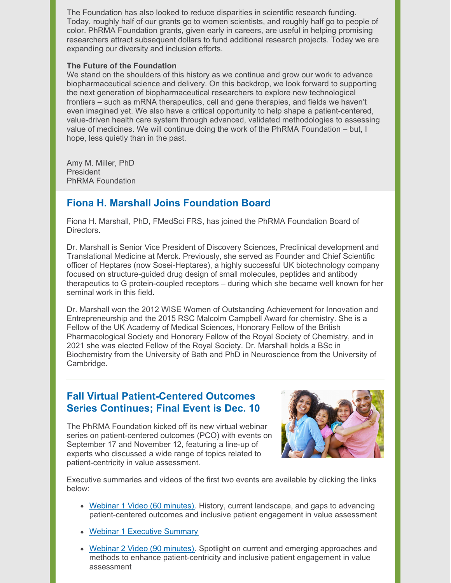The Foundation has also looked to reduce disparities in scientific research funding. Today, roughly half of our grants go to women scientists, and roughly half go to people of color. PhRMA Foundation grants, given early in careers, are useful in helping promising researchers attract subsequent dollars to fund additional research projects. Today we are expanding our diversity and inclusion efforts.

#### **The Future of the Foundation**

We stand on the shoulders of this history as we continue and grow our work to advance biopharmaceutical science and delivery. On this backdrop, we look forward to supporting the next generation of biopharmaceutical researchers to explore new technological frontiers – such as mRNA therapeutics, cell and gene therapies, and fields we haven't even imagined yet. We also have a critical opportunity to help shape a patient-centered, value-driven health care system through advanced, validated methodologies to assessing value of medicines. We will continue doing the work of the PhRMA Foundation – but, I hope, less quietly than in the past.

Amy M. Miller, PhD President PhRMA Foundation

# **Fiona H. Marshall Joins Foundation Board**

Fiona H. Marshall, PhD, FMedSci FRS, has joined the PhRMA Foundation Board of Directors.

Dr. Marshall is Senior Vice President of Discovery Sciences, Preclinical development and Translational Medicine at Merck. Previously, she served as Founder and Chief Scientific officer of Heptares (now Sosei-Heptares), a highly successful UK biotechnology company focused on structure-guided drug design of small molecules, peptides and antibody therapeutics to G protein-coupled receptors – during which she became well known for her seminal work in this field.

Dr. Marshall won the 2012 WISE Women of Outstanding Achievement for Innovation and Entrepreneurship and the 2015 RSC Malcolm Campbell Award for chemistry. She is a Fellow of the UK Academy of Medical Sciences, Honorary Fellow of the British Pharmacological Society and Honorary Fellow of the Royal Society of Chemistry, and in 2021 she was elected Fellow of the Royal Society. Dr. Marshall holds a BSc in Biochemistry from the University of Bath and PhD in Neuroscience from the University of Cambridge.

## **Fall Virtual Patient-Centered Outcomes Series Continues; Final Event is Dec. 10**

The PhRMA Foundation kicked off its new virtual webinar series on patient-centered outcomes (PCO) with events on September 17 and November 12, featuring a line-up of experts who discussed a wide range of topics related to patient-centricity in value assessment.



Executive summaries and videos of the first two events are available by clicking the links below:

- Webinar 1 Video (60 [minutes\)](https://www.youtube.com/watch?v=pqQSQAWiKYw&t=2s). History, current landscape, and gaps to advancing patient-centered outcomes and inclusive patient engagement in value assessment
- Webinar 1 [Executive](https://www.phrmafoundation.org/wp-content/uploads/2021/11/PCO-Webinar-1-Summary-Handout.pdf) Summary
- Webinar 2 Video (90 [minutes\)](https://www.youtube.com/watch?v=MncVcmSjIbA&t=53s). Spotlight on current and emerging approaches and methods to enhance patient-centricity and inclusive patient engagement in value assessment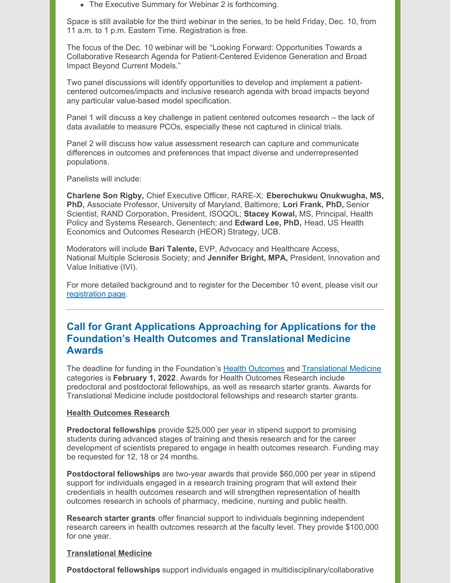• The Executive Summary for Webinar 2 is forthcoming.

Space is still available for the third webinar in the series, to be held Friday, Dec. 10, from 11 a.m. to 1 p.m. Eastern Time. Registration is free.

The focus of the Dec. 10 webinar will be "Looking Forward: Opportunities Towards a Collaborative Research Agenda for Patient-Centered Evidence Generation and Broad Impact Beyond Current Models."

Two panel discussions will identify opportunities to develop and implement a patientcentered outcomes/impacts and inclusive research agenda with broad impacts beyond any particular value-based model specification.

Panel 1 will discuss a key challenge in patient centered outcomes research – the lack of data available to measure PCOs, especially these not captured in clinical trials.

Panel 2 will discuss how value assessment research can capture and communicate differences in outcomes and preferences that impact diverse and underrepresented populations.

Panelists will include:

**Charlene Son Rigby,** Chief Executive Officer, RARE-X; **Eberechukwu Onukwugha, MS, PhD,** Associate Professor, University of Maryland, Baltimore; **Lori Frank, PhD,** Senior Scientist, RAND Corporation, President, ISOQOL; **Stacey Kowal,** MS, Principal, Health Policy and Systems Research, Genentech; and **Edward Lee, PhD,** Head, US Health Economics and Outcomes Research (HEOR) Strategy, UCB.

Moderators will include **Bari Talente,** EVP, Advocacy and Healthcare Access, National Multiple Sclerosis Society; and **Jennifer Bright, MPA,** President, Innovation and Value Initiative (IVI).

For more detailed background and to register for the December 10 event, please visit our [registration](https://web.cvent.com/event/6fb0967e-da9a-42cd-a55f-2627c5fdb7c9/summary) page.

# **Call for Grant Applications Approaching for Applications for the Foundation's Health Outcomes and Translational Medicine Awards**

The deadline for funding in the Foundation's Health [Outcomes](http://www.phrmafoundation.org/awards) and [Translational](http://www.phrmafoundation.org/awards) Medicine categories is **February 1, 2022**. Awards for Health Outcomes Research include predoctoral and postdoctoral fellowships, as well as research starter grants. Awards for Translational Medicine include postdoctoral fellowships and research starter grants.

#### **Health Outcomes Research**

**Predoctoral fellowships** provide \$25,000 per year in stipend support to promising students during advanced stages of training and thesis research and for the career development of scientists prepared to engage in health outcomes research. Funding may be requested for 12, 18 or 24 months.

**Postdoctoral fellowships** are two-year awards that provide \$60,000 per year in stipend support for individuals engaged in a research training program that will extend their credentials in health outcomes research and will strengthen representation of health outcomes research in schools of pharmacy, medicine, nursing and public health.

**Research starter grants** offer financial support to individuals beginning independent research careers in health outcomes research at the faculty level. They provide \$100,000 for one year.

#### **Translational Medicine**

**Postdoctoral fellowships** support individuals engaged in multidisciplinary/collaborative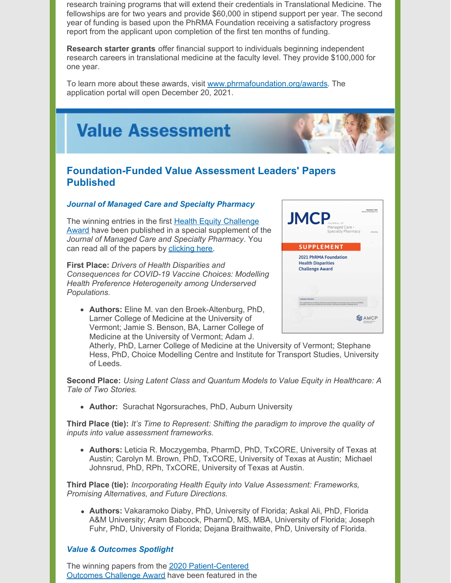research training programs that will extend their credentials in Translational Medicine. The fellowships are for two years and provide \$60,000 in stipend support per year. The second year of funding is based upon the PhRMA Foundation receiving a satisfactory progress report from the applicant upon completion of the first ten months of funding.

**Research starter grants** offer financial support to individuals beginning independent research careers in translational medicine at the faculty level. They provide \$100,000 for one year.

To learn more about these awards, visit [www.phrmafoundation.org/awards](http://www.phrmafoundation.org/awards). The application portal will open December 20, 2021.



## **Foundation-Funded Value Assessment Leaders' Papers Published**

#### *Journal of Managed Care and Specialty Pharmacy*

The winning entries in the first **Health Equity Challenge** Award have been published in a special [supplement](http://www.phrmafoundation.org/challenge-awards/) of the *Journal of Managed Care and Specialty Pharmacy*. You can read all of the papers by [clicking](https://www.jmcp.org/pb-assets/Supplements/Supplement9-a-1631549800.pdf) here.

**First Place:** *Drivers of Health Disparities and Consequences for COVID-19 Vaccine Choices: Modelling Health Preference Heterogeneity among Underserved Populations.*

**Authors:** Eline M. van den Broek-Altenburg, PhD, Larner College of Medicine at the University of Vermont; Jamie S. Benson, BA, Larner College of Medicine at the University of Vermont; Adam J.



Atherly, PhD, Larner College of Medicine at the University of Vermont; Stephane Hess, PhD, Choice Modelling Centre and Institute for Transport Studies, University of Leeds.

**Second Place:** *Using Latent Class and Quantum Models to Value Equity in Healthcare: A Tale of Two Stories.*

**Author:** Surachat Ngorsuraches, PhD, Auburn University

**Third Place (tie):** *It's Time to Represent: Shifting the paradigm to improve the quality of inputs into value assessment frameworks.*

**Authors:** Leticia R. Moczygemba, PharmD, PhD, TxCORE, University of Texas at Austin; Carolyn M. Brown, PhD, TxCORE, University of Texas at Austin; Michael Johnsrud, PhD, RPh, TxCORE, University of Texas at Austin.

**Third Place (tie):** *Incorporating Health Equity into Value Assessment: Frameworks, Promising Alternatives, and Future Directions.*

**Authors:** Vakaramoko Diaby, PhD, University of Florida; Askal Ali, PhD, Florida A&M University; Aram Babcock, PharmD, MS, MBA, University of Florida; Joseph Fuhr, PhD, University of Florida; Dejana Braithwaite, PhD, University of Florida.

#### *Value & Outcomes Spotlight*

The winning papers from the 2020 [Patient-Centered](http://www.phrmafoundation.org/challenge-awards/) Outcomes Challenge Award have been featured in the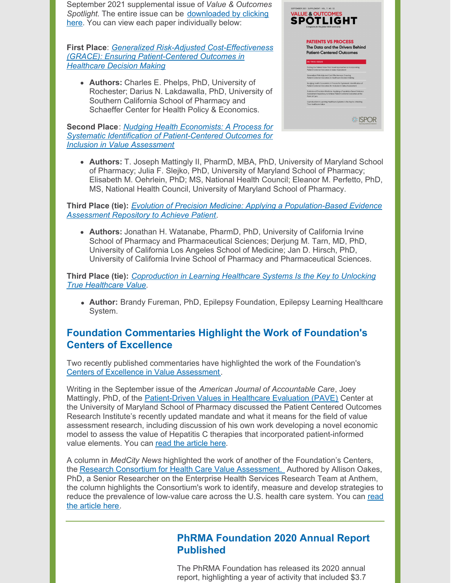September 2021 supplemental issue of *Value & Outcomes Spotlight*. The entire issue can be [downloaded](https://www.ispor.org/docs/default-source/default-document-library/ispor_vos_phrma-supplement_final43ef473b095444ddb5627da3ad71f6df.pdf?sfvrsn=37bb0339_0) by clicking here. You can view each paper individually below:

**First Place**: *Generalized Risk-Adjusted [Cost-Effectiveness](https://www.ispor.org/publications/journals/value-outcomes-spotlight/vos-archives/issue/view/patients-versus-process-the-data-and-the-drivers-behind-patient-centered-outcomes/generalized-risk-adjusted-cost-effectiveness-(grace)-ensuring-patient-centered-outcomes-in-healthcare-decision-making) (GRACE): Ensuring Patient-Centered Outcomes in Healthcare Decision Making*

**Authors:** Charles E. Phelps, PhD, University of Rochester; Darius N. Lakdawalla, PhD, University of Southern California School of Pharmacy and Schaeffer Center for Health Policy & Economics.

**Second Place**: *Nudging Health Economists: A Process for Systematic Identification of [Patient-Centered](https://www.ispor.org/publications/journals/value-outcomes-spotlight/vos-archives/issue/view/patients-versus-process-the-data-and-the-drivers-behind-patient-centered-outcomes/nudging-health-economists-a-process-for-systematic-identification-of-patient-centered-outcomes-for-inclusion-in-value-assessment) Outcomes for Inclusion in Value Assessment*

| 5 D | EPTEMBER 2021 SUPPLEMENT   VOL. 7, NO. 52<br><b>VALUE &amp; OUTCOMES</b><br><b>OTLIGHT</b><br>A magazine for the global HEOR community.                     |  |
|-----|-------------------------------------------------------------------------------------------------------------------------------------------------------------|--|
|     | <b>PATIENTS VS PROCESS</b><br>The Data and the Drivers Behind<br><b>Patient-Centered Outcomes</b><br>IN THIS ISSUE                                          |  |
|     | Putting the Patient Voice First: Novel Approaches to Incorporating                                                                                          |  |
|     | Patient-Centered Outcomes in Value Assessment                                                                                                               |  |
|     | Generalized Risk-Adjusted Cost-Effectiveness: Ensuring<br>Patient-Centered Outcomes in Healthcare Decision Making                                           |  |
|     | Nudging Health Economists: A Process for Systematic Identification of<br>Patient-Centered Outcomes for Inclusion in Value Assessment                        |  |
|     | Evolution of Precision Medicine: Applying a Population-Based Evidence<br>Assessment Repository to Achieve Patient-Centered Outcomes at the<br>Point of Care |  |
|     | Coproduction in Learning Healthcare Systems is the Key to Unlocking<br>True Healthrane Value                                                                |  |
|     |                                                                                                                                                             |  |

**Authors:** T. Joseph Mattingly II, PharmD, MBA, PhD, University of Maryland School of Pharmacy; Julia F. Slejko, PhD, University of Maryland School of Pharmacy; Elisabeth M. Oehrlein, PhD; MS, National Health Council; Eleanor M. Perfetto, PhD, MS, National Health Council, University of Maryland School of Pharmacy.

**Third Place (tie):** *Evolution of Precision Medicine: Applying a [Population-Based](https://www.ispor.org/publications/journals/value-outcomes-spotlight/vos-archives/issue/view/patients-versus-process-the-data-and-the-drivers-behind-patient-centered-outcomes/evolution-of-precision-medicine-applying-a-population-based-evidence-assessment-repository-to-achieve-patient-centered-outcomes-at-the-point-of-care) Evidence Assessment Repository to Achieve Patient*.

**Authors:** Jonathan H. Watanabe, PharmD, PhD, University of California Irvine School of Pharmacy and Pharmaceutical Sciences; Derjung M. Tarn, MD, PhD, University of California Los Angeles School of Medicine; Jan D. Hirsch, PhD, University of California Irvine School of Pharmacy and Pharmaceutical Sciences.

**Third Place (tie):** *[Coproduction](https://www.ispor.org/publications/journals/value-outcomes-spotlight/vos-archives/issue/view/patients-versus-process-the-data-and-the-drivers-behind-patient-centered-outcomes/coproduction-in-learning-healthcare-systems-is-the-key-to-unlocking-true-healthcare-value) in Learning Healthcare Systems Is the Key to Unlocking True Healthcare Value*.

**Author:** Brandy Fureman, PhD, Epilepsy Foundation, Epilepsy Learning Healthcare System.

# **Foundation Commentaries Highlight the Work of Foundation's Centers of Excellence**

Two recently published commentaries have highlighted the work of the Foundation's Centers of Excellence in Value [Assessment](http://www.phrmafoundation.org/centers-of-excellence-in-value-assessment/).

Writing in the September issue of the *American Journal of Accountable Care*, Joey Mattingly, PhD, of the [Patient-Driven](https://www.pharmacy.umaryland.edu/centers/patient-driven-values-healthcare-evaluation-pave/) Values in Healthcare Evaluation (PAVE) Center at the University of Maryland School of Pharmacy discussed the Patient Centered Outcomes Research Institute's recently updated mandate and what it means for the field of value assessment research, including discussion of his own work developing a novel economic model to assess the value of Hepatitis C therapies that incorporated patient-informed value elements. You can read the [article](https://www.ajmc.com/view/pcori-s-expanded-mandate-creates-new-opportunities-for-value-assessment-research) here.

A column in *MedCity News* highlighted the work of another of the Foundation's Centers, the Research Consortium for Health Care Value [Assessment.](https://www.hcvalueassessment.org/) Authored by Allison Oakes, PhD, a Senior Researcher on the Enterprise Health Services Research Team at Anthem, the column highlights the Consortium's work to identify, measure and develop strategies to reduce the [prevalence](https://medcitynews.com/2021/09/reducing-low-value-care-starts-by-understanding-its-drivers/) of low-value care across the U.S. health care system. You can read the article here.

# **PhRMA Foundation 2020 Annual Report Published**

The PhRMA Foundation has released its 2020 annual report, highlighting a year of activity that included \$3.7